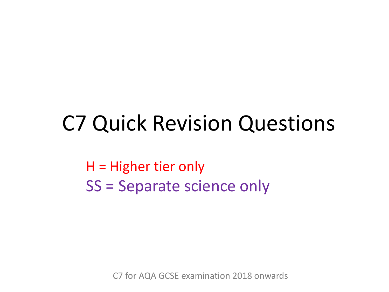### C7 Quick Revision Questions

H = Higher tier only SS = Separate science only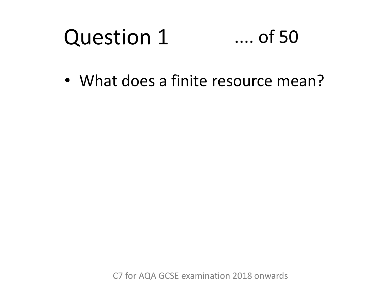#### Question 1 .... of 50

• What does a finite resource mean?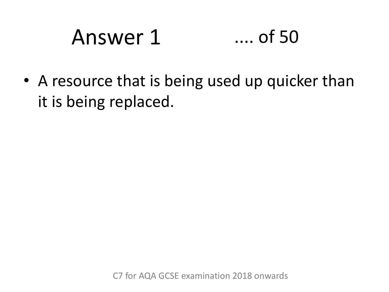# Answer 1 .... of 50

• A resource that is being used up quicker than it is being replaced.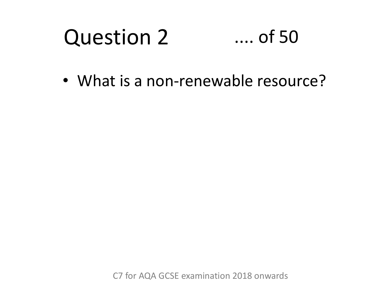#### Question 2 .... of 50

• What is a non-renewable resource?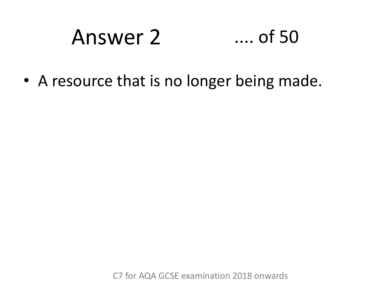### Answer 2 .... of 50

• A resource that is no longer being made.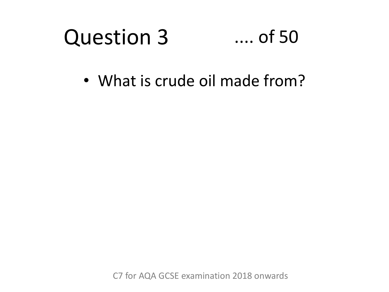#### Question 3 .... of 50

• What is crude oil made from?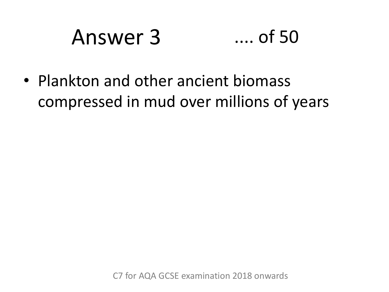# Answer 3 .... of 50

• Plankton and other ancient biomass compressed in mud over millions of years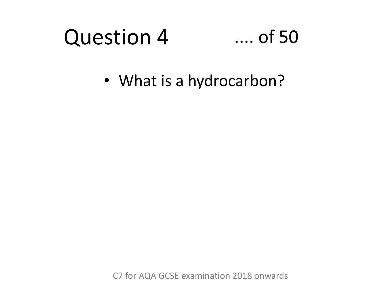#### Question 4 .... of 50

• What is a hydrocarbon?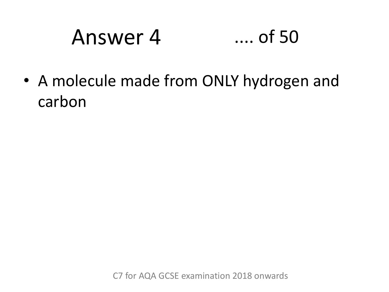### Answer 4 .... of 50

• A molecule made from ONLY hydrogen and carbon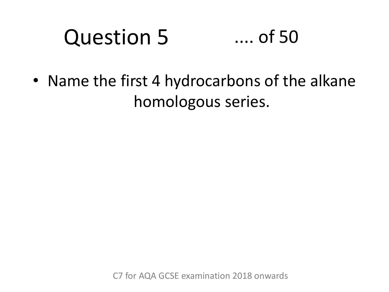#### Question 5 .... of 50

• Name the first 4 hydrocarbons of the alkane homologous series.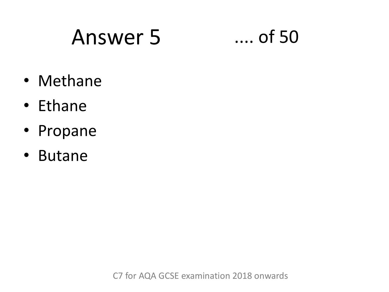### Answer 5 .... of 50

- Methane
- Ethane
- Propane
- Butane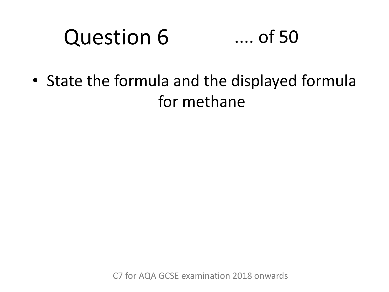#### Question 6 .... of 50

• State the formula and the displayed formula for methane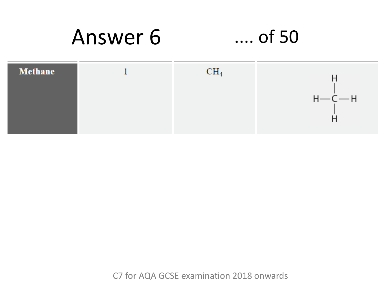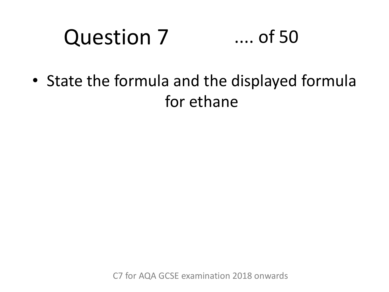#### Question 7 .... of 50

• State the formula and the displayed formula for ethane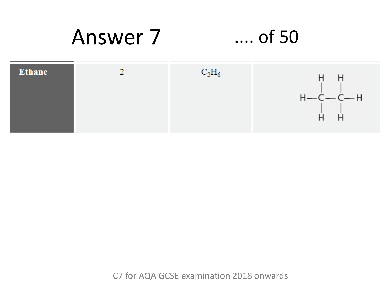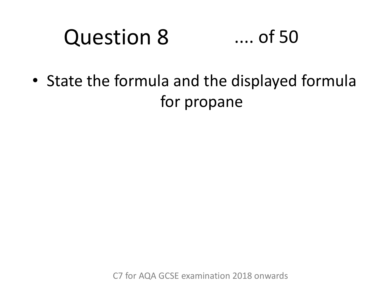#### Question 8 .... of 50

• State the formula and the displayed formula for propane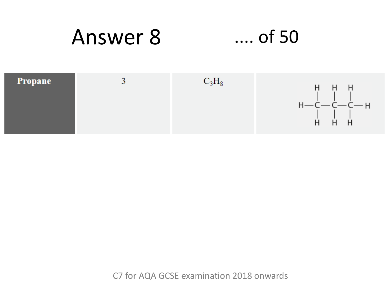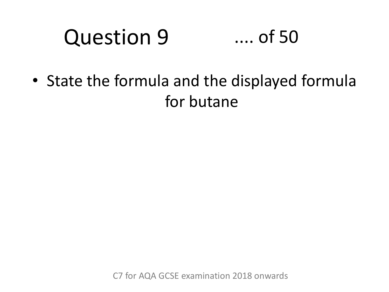#### Question 9 .... of 50

• State the formula and the displayed formula for butane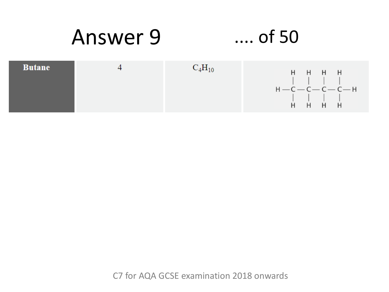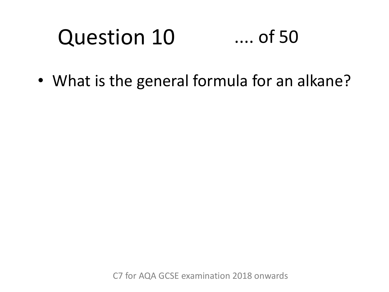### Question 10 .... of 50

• What is the general formula for an alkane?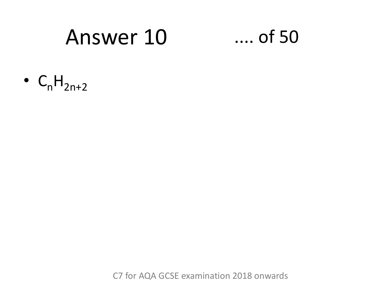### Answer 10

### $\ldots$  of 50

•  $C_nH_{2n+2}$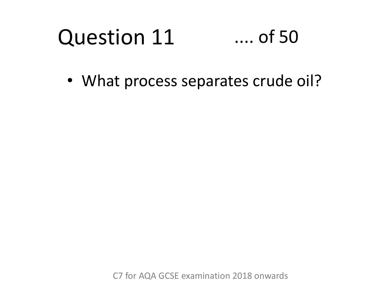#### Question 11 .... of 50

• What process separates crude oil?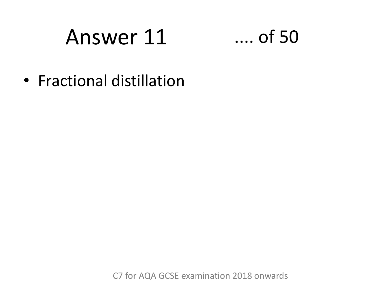### Answer 11



• Fractional distillation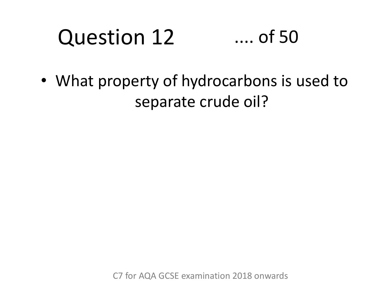### Question 12 .... of 50

• What property of hydrocarbons is used to separate crude oil?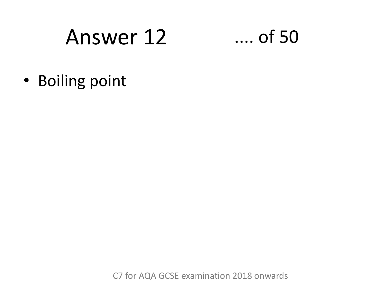### Answer 12

### $\dots$  of 50

· Boiling point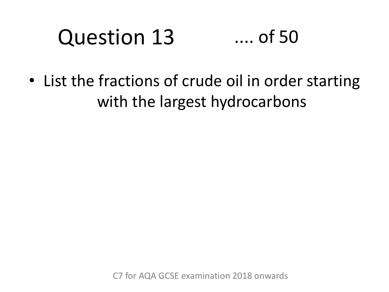#### Question 13 .... of 50

• List the fractions of crude oil in order starting with the largest hydrocarbons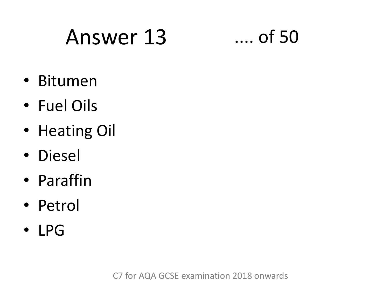# Answer 13 .... of 50

- Bitumen
- Fuel Oils
- Heating Oil
- Diesel
- Paraffin
- Petrol
- LPG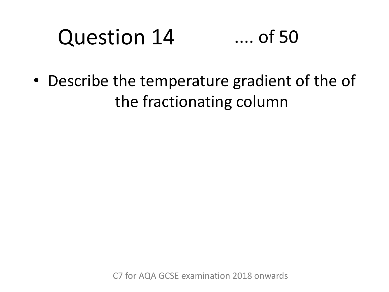#### Question 14 .... of 50

• Describe the temperature gradient of the of the fractionating column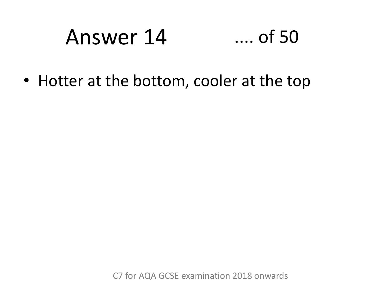#### Answer 14  $\dots$  of 50

• Hotter at the bottom, cooler at the top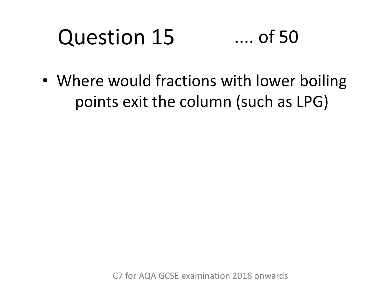### Question 15 .... of 50

• Where would fractions with lower boiling points exit the column (such as LPG)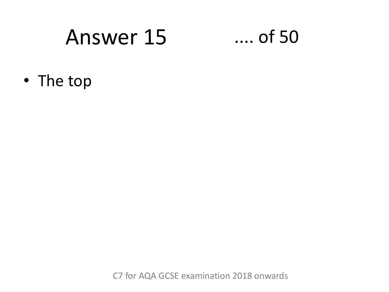### Answer 15

### $...$  of 50

• The top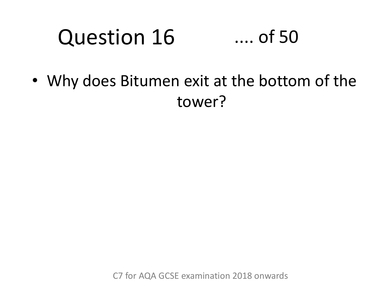#### Question 16 .... of 50

• Why does Bitumen exit at the bottom of the tower?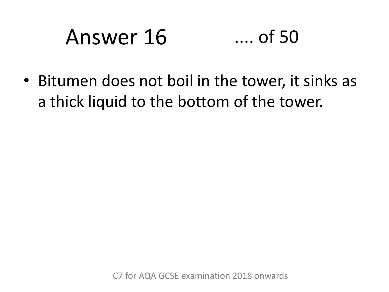# Answer 16 .... of 50

• Bitumen does not boil in the tower, it sinks as a thick liquid to the bottom of the tower.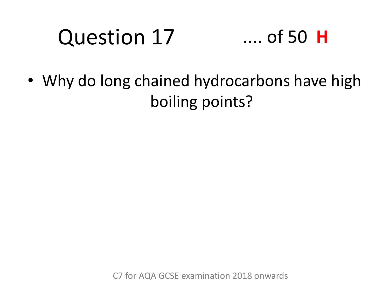# Question 17

### .... of 50 **H**

• Why do long chained hydrocarbons have high boiling points?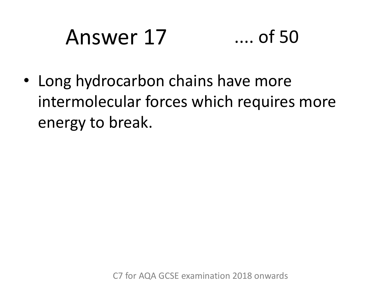# Answer 17 .... of 50

• Long hydrocarbon chains have more intermolecular forces which requires more energy to break.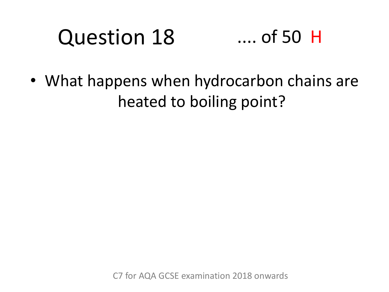### Question 18 .... of 50 H

• What happens when hydrocarbon chains are heated to boiling point?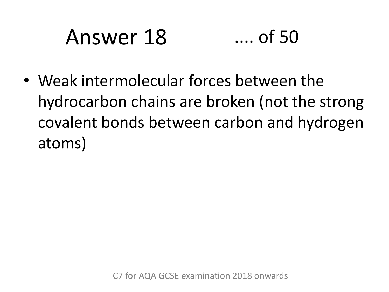# Answer 18 .... of 50

• Weak intermolecular forces between the hydrocarbon chains are broken (not the strong covalent bonds between carbon and hydrogen atoms)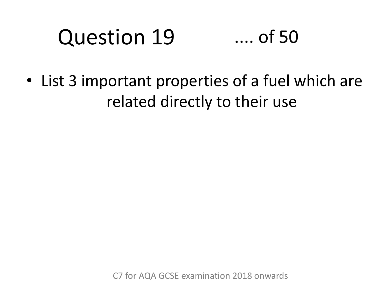### Question 19 .... of 50

• List 3 important properties of a fuel which are related directly to their use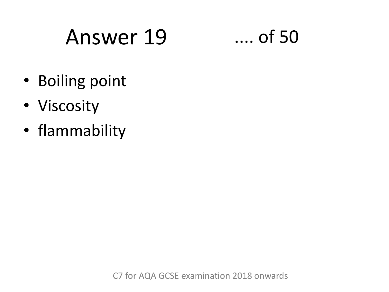### Answer 19 .... of 50

- Boiling point
- Viscosity
- flammability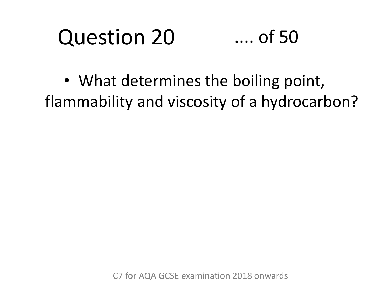#### Question 20 .... of 50

• What determines the boiling point, flammability and viscosity of a hydrocarbon?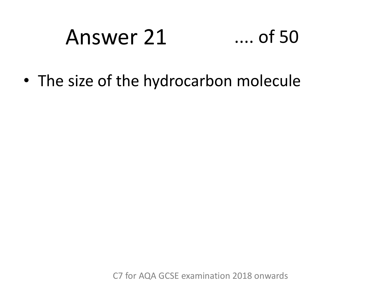# Answer 21 .... of 50

• The size of the hydrocarbon molecule

C7 for AQA GCSE examination 2018 onwards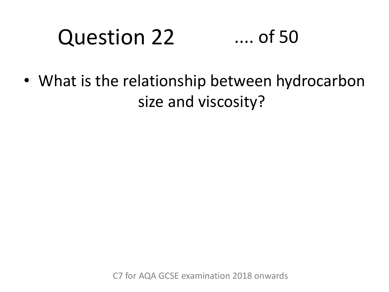### Question 22 .... of 50

• What is the relationship between hydrocarbon size and viscosity?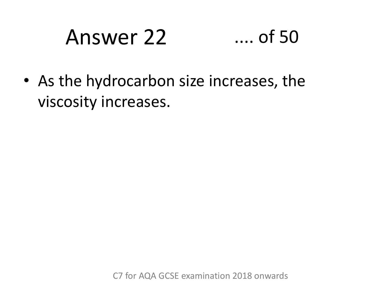# Answer 22 .... of 50

• As the hydrocarbon size increases, the viscosity increases.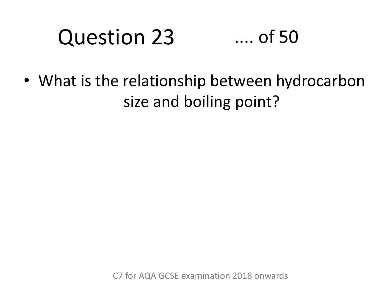### Question 23 .... of 50

• What is the relationship between hydrocarbon size and boiling point?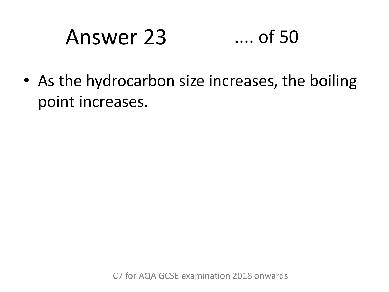### Answer 23 .... of 50

• As the hydrocarbon size increases, the boiling point increases.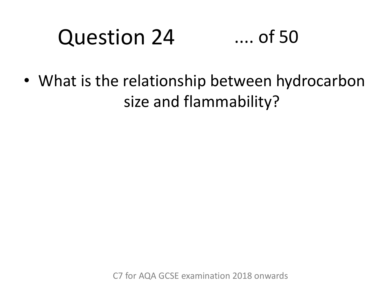### Question 24 .... of 50

• What is the relationship between hydrocarbon size and flammability?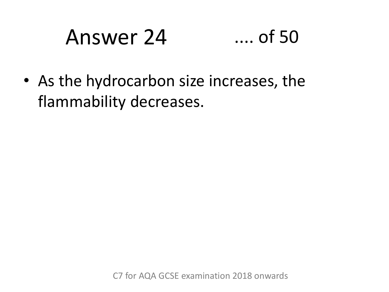#### Answer 24  $\dots$  of 50

• As the hydrocarbon size increases, the flammability decreases.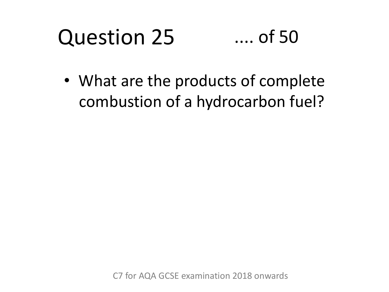#### Question 25 .... of 50

• What are the products of complete combustion of a hydrocarbon fuel?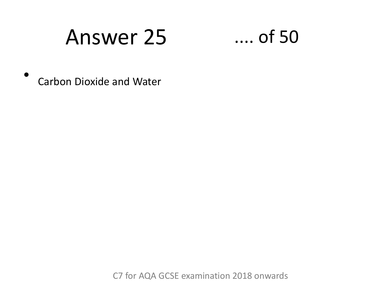### **Answer 25**



**Carbon Dioxide and Water** 

C7 for AQA GCSE examination 2018 onwards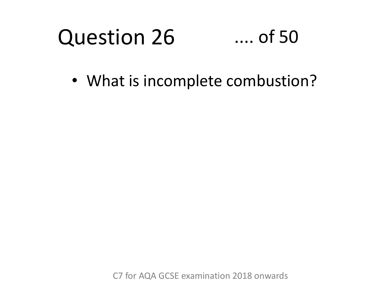#### Question 26 .... of 50

• What is incomplete combustion?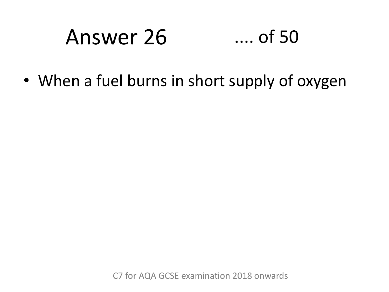### Answer 26 .... of 50

• When a fuel burns in short supply of oxygen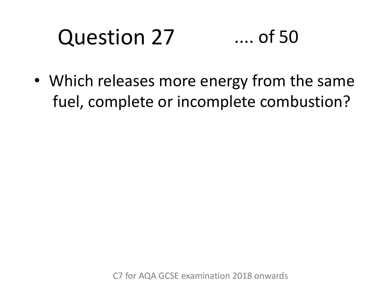### Question 27 .... of 50

• Which releases more energy from the same fuel, complete or incomplete combustion?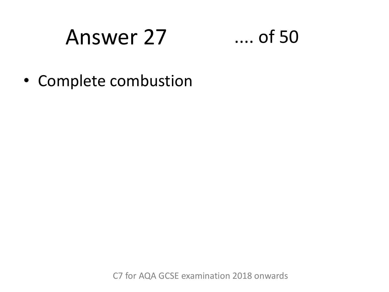### Answer 27

### $\dots$  of 50

• Complete combustion

C7 for AQA GCSE examination 2018 onwards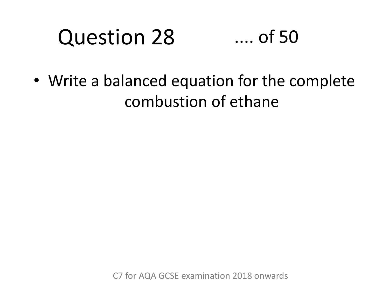### Question 28 .... of 50

• Write a balanced equation for the complete combustion of ethane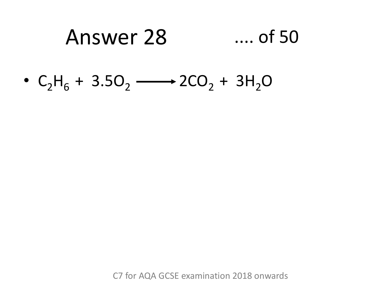#### Answer 28  $\dots$  of 50

•  $C_2H_6 + 3.5O_2 \longrightarrow 2CO_2 + 3H_2O$ 

C7 for AQA GCSE examination 2018 onwards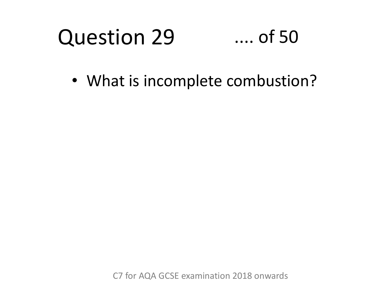#### Question 29 .... of 50

• What is incomplete combustion?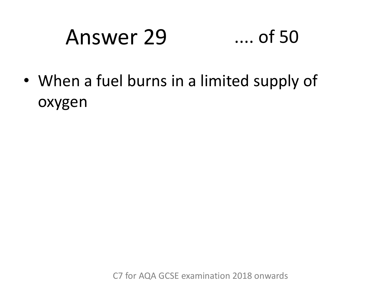### Answer 29 .... of 50

• When a fuel burns in a limited supply of oxygen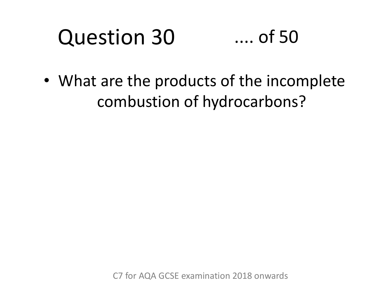### Question 30 .... of 50

• What are the products of the incomplete combustion of hydrocarbons?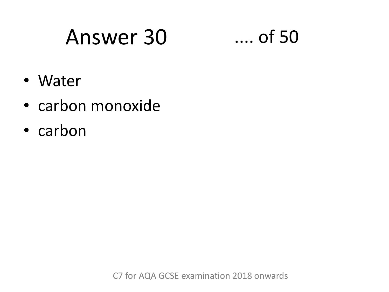### Answer 30 .... of 50

- Water
- carbon monoxide
- carbon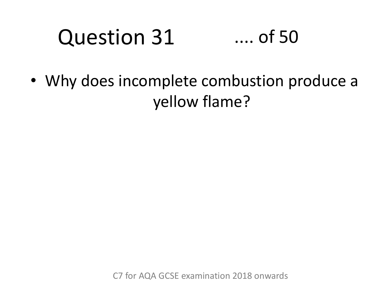### Question 31 .... of 50

• Why does incomplete combustion produce a yellow flame?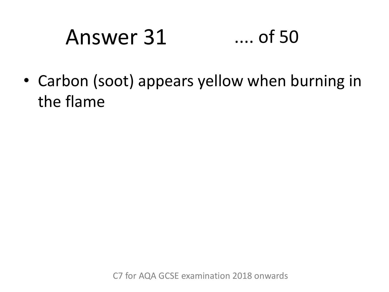#### Answer 31  $\dots$  of 50

• Carbon (soot) appears yellow when burning in the flame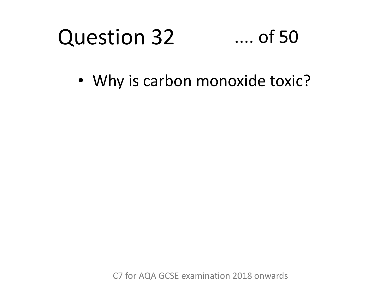#### Question 32 .... of 50

• Why is carbon monoxide toxic?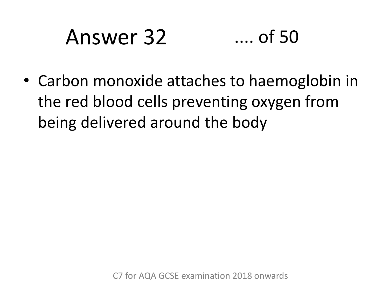# Answer 32 .... of 50

• Carbon monoxide attaches to haemoglobin in the red blood cells preventing oxygen from being delivered around the body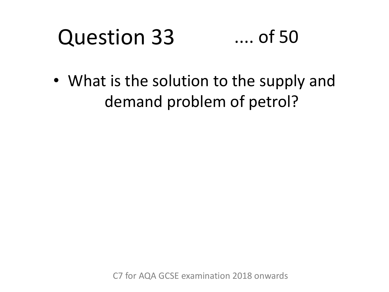#### Question 33 .... of 50

• What is the solution to the supply and demand problem of petrol?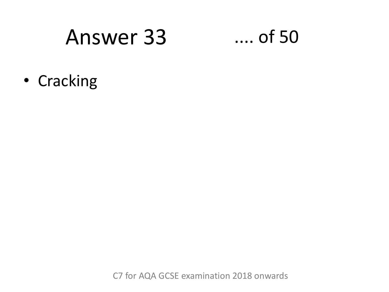### **Answer 33**

### $\dots$  of 50

• Cracking

C7 for AQA GCSE examination 2018 onwards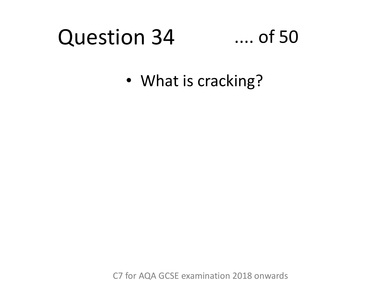#### Question 34 .... of 50

• What is cracking?

C7 for AQA GCSE examination 2018 onwards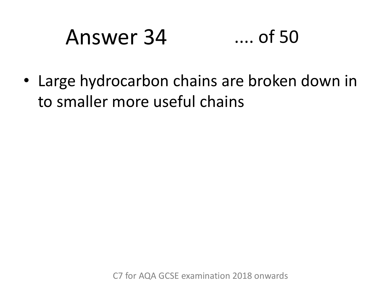### Answer 34 .... of 50

• Large hydrocarbon chains are broken down in to smaller more useful chains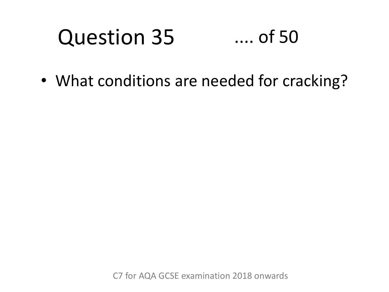### Question 35 .... of 50

• What conditions are needed for cracking?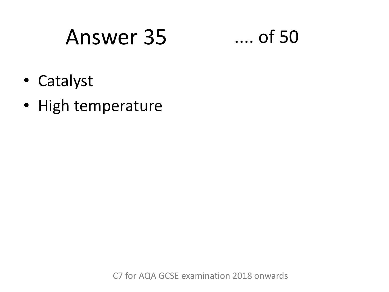### Answer 35



- Catalyst
- High temperature

C7 for AQA GCSE examination 2018 onwards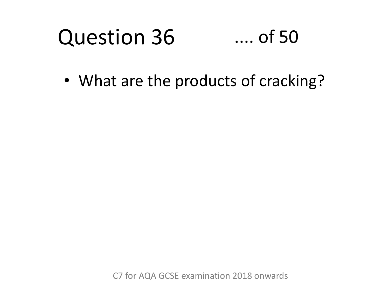#### Question 36 .... of 50

• What are the products of cracking?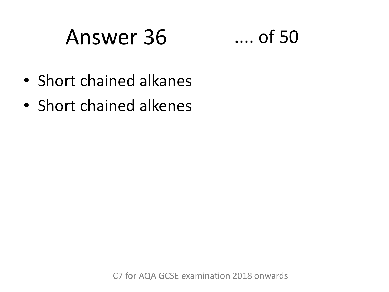### Answer 36 .... of 50



- Short chained alkanes
- Short chained alkenes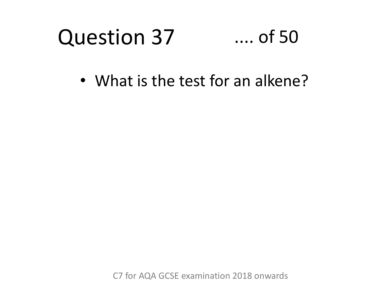#### Question 37 .... of 50

• What is the test for an alkene?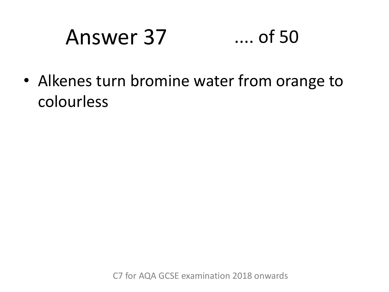# Answer 37 .... of 50

• Alkenes turn bromine water from orange to colourless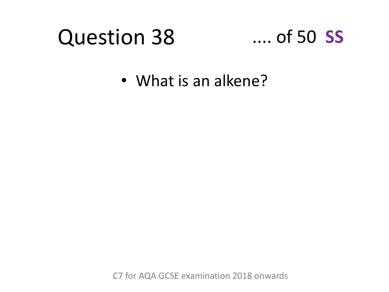# Question 38

## .... of 50 **SS**

• What is an alkene?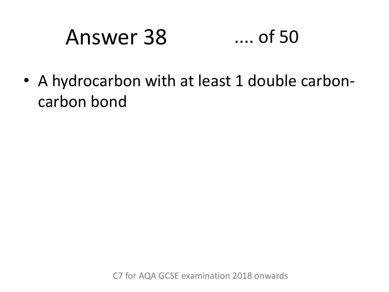# Answer 38 .... of 50

• A hydrocarbon with at least 1 double carboncarbon bond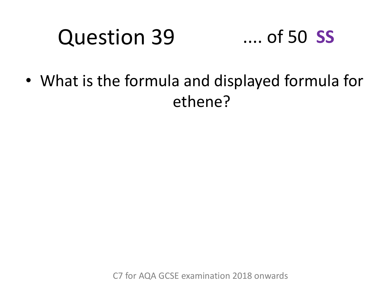### Question 39 .... of 50 **SS**

• What is the formula and displayed formula for ethene?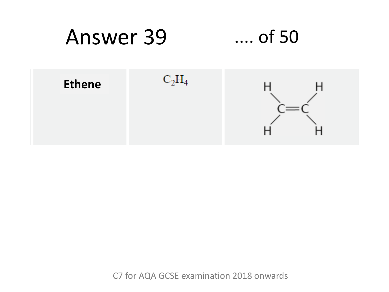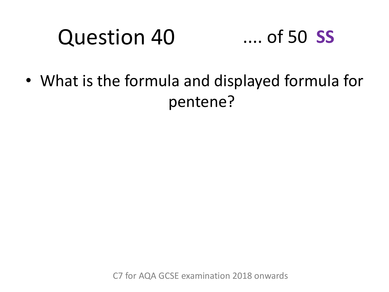# Question 40

## .... of 50 **SS**

• What is the formula and displayed formula for pentene?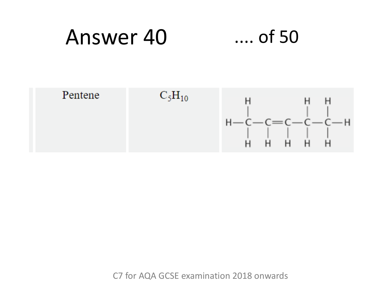### Answer 40  $\dots$  of 50

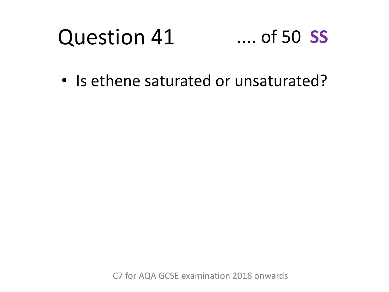### Question 41 .... of 50 **SS**

• Is ethene saturated or unsaturated?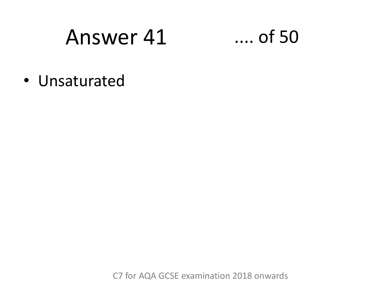$\ldots$  of 50

• Unsaturated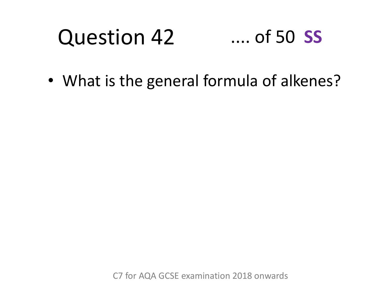### Question 42 .... of 50 **SS**

• What is the general formula of alkenes?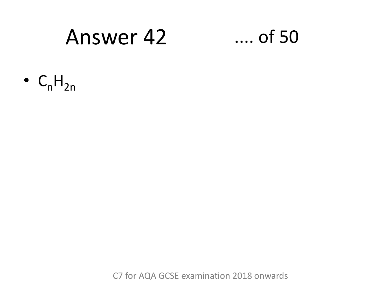### $\ldots$  of 50

 $\bullet$  C<sub>n</sub>H<sub>2n</sub>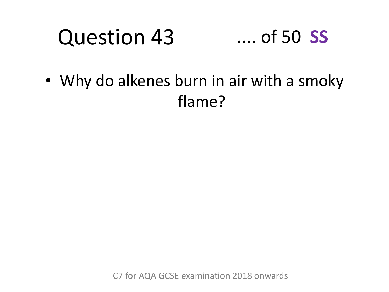### Question 43 .... of 50 **SS**

• Why do alkenes burn in air with a smoky flame?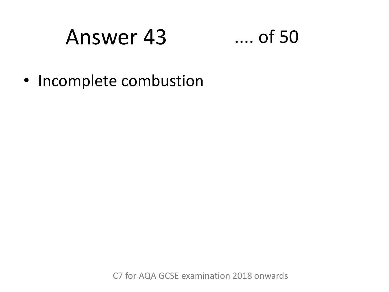## $\dots$  of 50

• Incomplete combustion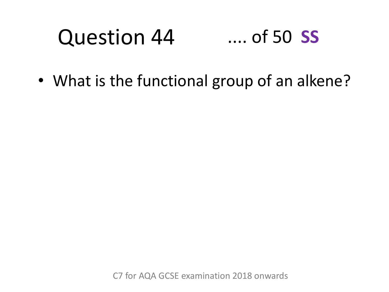### Question 44 .... of 50 **SS**

• What is the functional group of an alkene?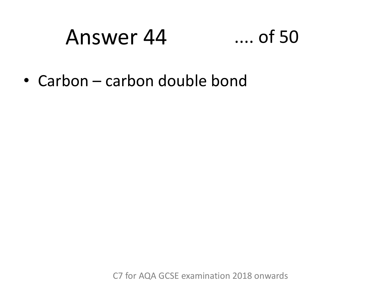## $\ldots$  of 50

• Carbon – carbon double bond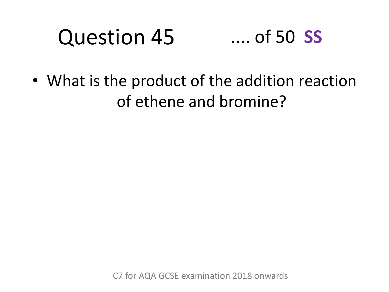### Question 45 .... of 50 **SS**

• What is the product of the addition reaction of ethene and bromine?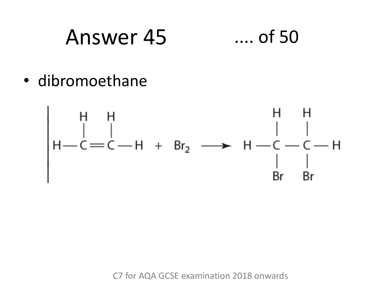### Answer 45  $\dots$  of 50

· dibromoethane

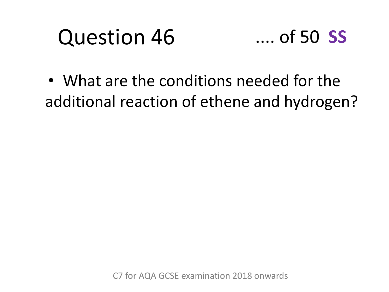# Question 46



• What are the conditions needed for the additional reaction of ethene and hydrogen?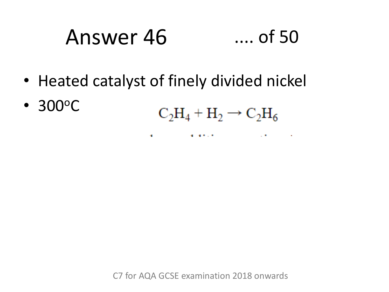# Answer 46 .... of 50

• Heated catalyst of finely divided nickel

**COLL** 

• 300°C

 $C_2H_4 + H_2 \rightarrow C_2H_6$ 

the contract of the contract of the contract of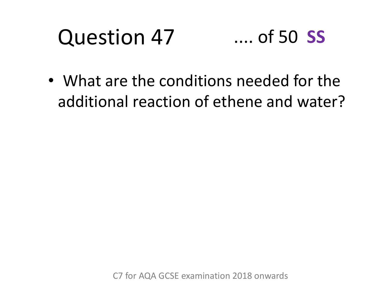### Question 47 .... of 50 **SS**

• What are the conditions needed for the additional reaction of ethene and water?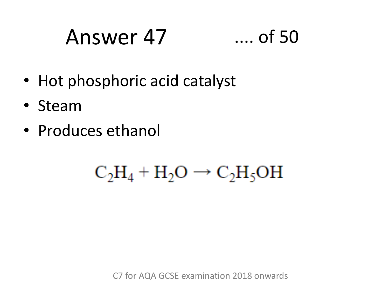# Answer 47 .... of 50

- Hot phosphoric acid catalyst
- Steam
- Produces ethanol

## $C_2H_4 + H_2O \rightarrow C_2H_5OH$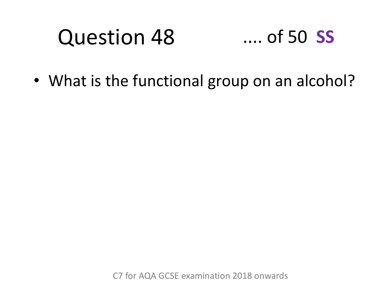### Question 48 .... of 50 **SS**

• What is the functional group on an alcohol?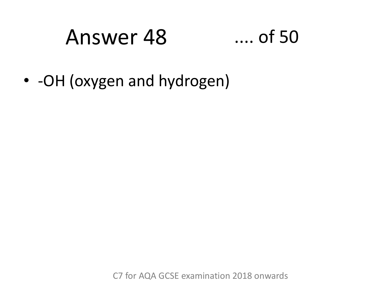## $...$  of 50

• - OH (oxygen and hydrogen)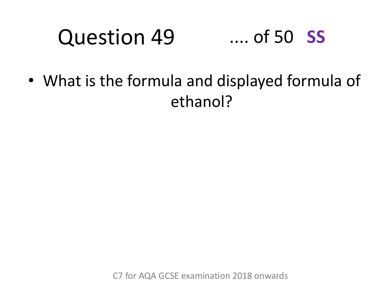### Question 49 .... of 50 **SS**

• What is the formula and displayed formula of ethanol?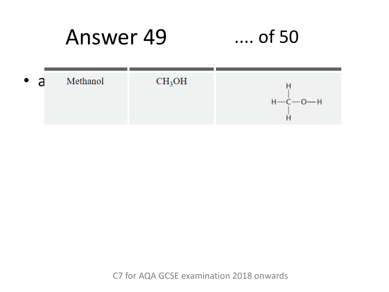## $\ldots$  of 50

| $\bullet$ a | Methanol | CH <sub>3</sub> OH |                 |
|-------------|----------|--------------------|-----------------|
|             |          |                    | $H - C - 0 - H$ |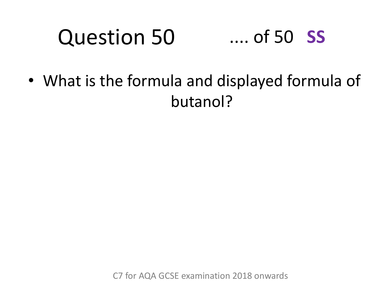### Question 50 .... of 50 **SS**

• What is the formula and displayed formula of butanol?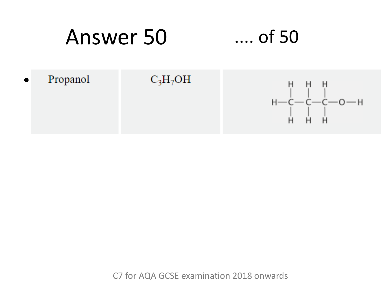## $\dots$  of 50

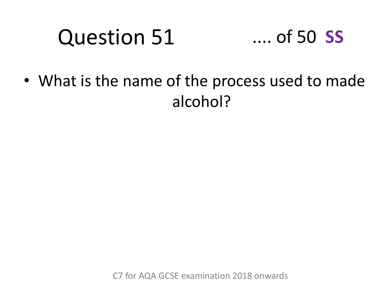# Question 51



• What is the name of the process used to made alcohol?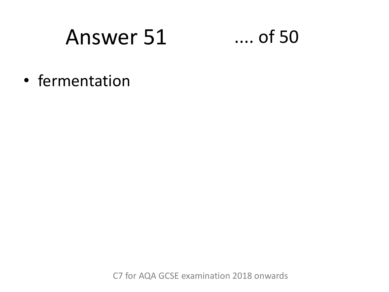$\dots$  of 50

• fermentation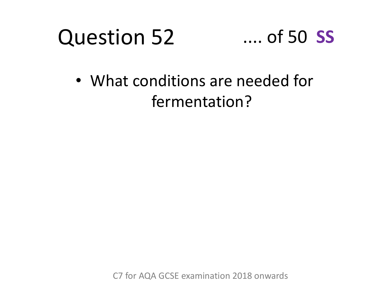



• What conditions are needed for fermentation?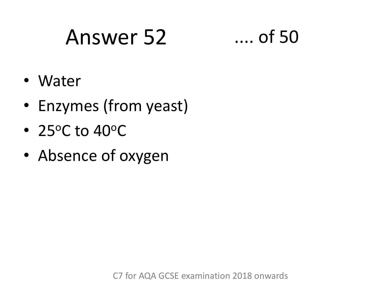# Answer 52 .... of 50

- Water
- Enzymes (from yeast)
- 25 $\degree$ C to 40 $\degree$ C
- Absence of oxygen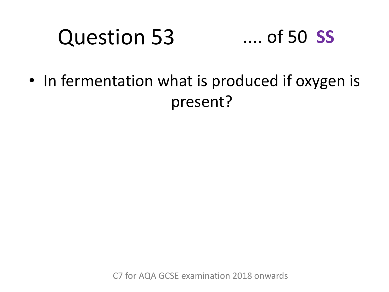### Question 53 .... of 50 **SS**

• In fermentation what is produced if oxygen is present?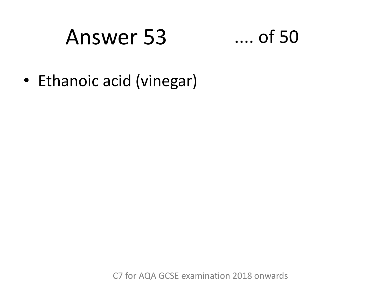## $\dots$  of 50

• Ethanoic acid (vinegar)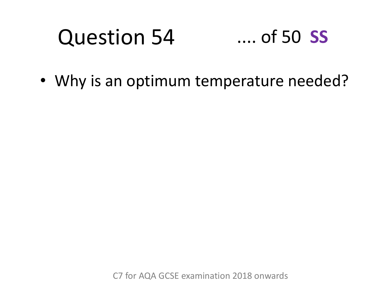### Question 54 .... of 50 **SS**

• Why is an optimum temperature needed?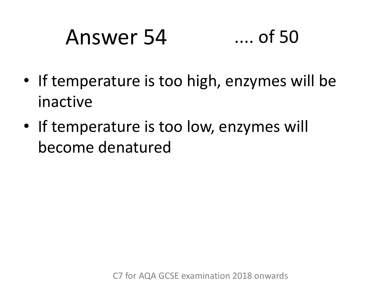# Answer 54 .... of 50

- If temperature is too high, enzymes will be inactive
- If temperature is too low, enzymes will become denatured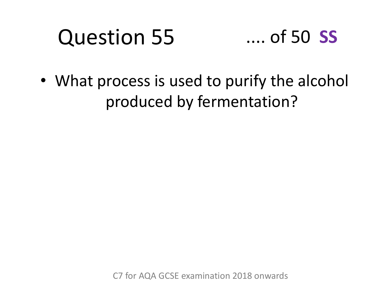### Question 55 .... of 50 **SS**

• What process is used to purify the alcohol produced by fermentation?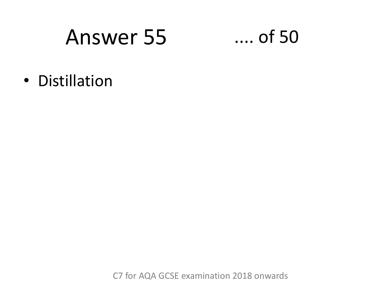# **Answer 55**

### $\dots$  of 50

• Distillation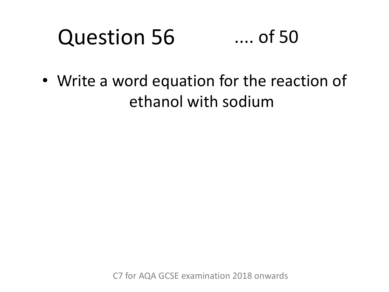### Question 56 .... of 50

• Write a word equation for the reaction of ethanol with sodium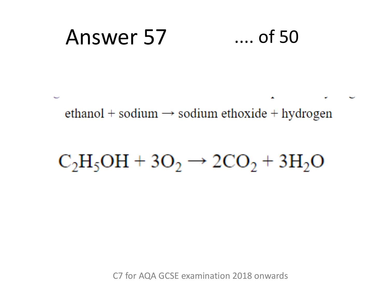#### Answer 57  $\ldots$  of 50

ethanol + sodium  $\rightarrow$  sodium ethoxide + hydrogen

## $C_2H_5OH + 3O_2 \rightarrow 2CO_2 + 3H_2O$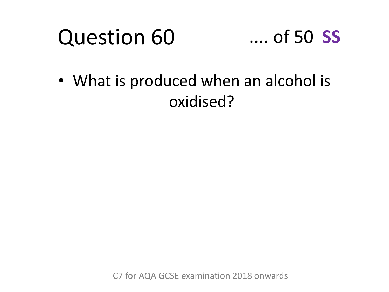### .... of 50 **SS**

• What is produced when an alcohol is oxidised?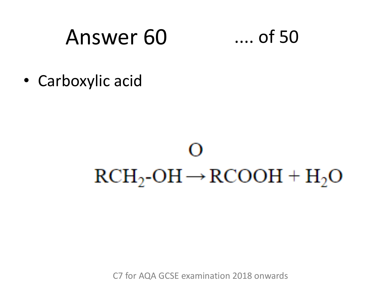# Answer 60

 $\dots$  of 50

• Carboxylic acid

# 0  $RCH_2\text{-}OH \rightarrow RCOOH + H_2O$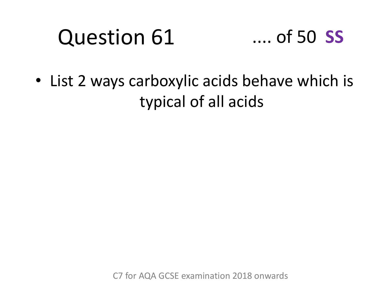

• List 2 ways carboxylic acids behave which is typical of all acids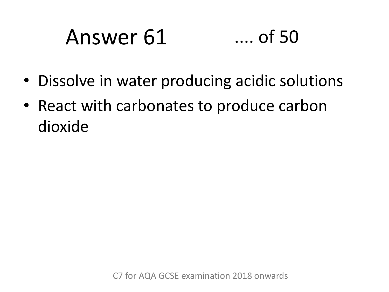# Answer 61 .... of 50

- Dissolve in water producing acidic solutions
- React with carbonates to produce carbon dioxide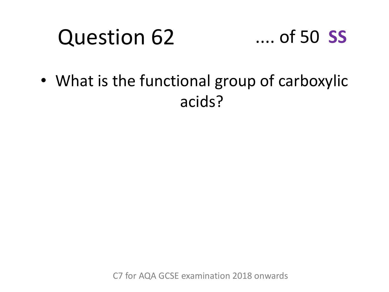

• What is the functional group of carboxylic acids?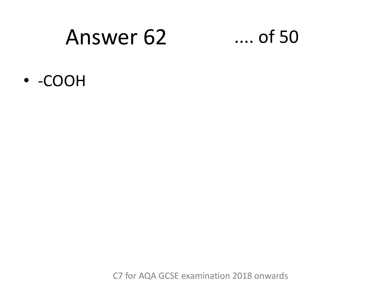# Answer 62

### $\ldots$  of 50

• -COOH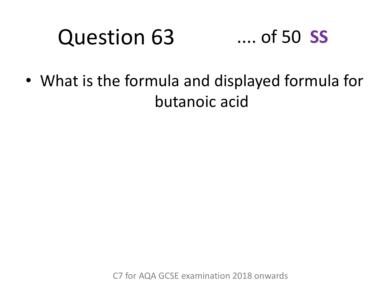### Question 63 .... of 50 **SS**

• What is the formula and displayed formula for butanoic acid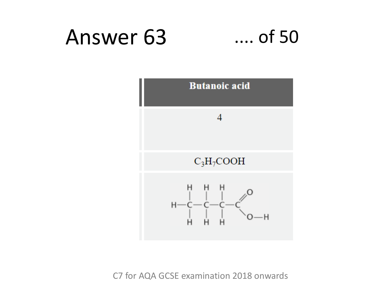#### Answer 63  $\ldots$  of 50

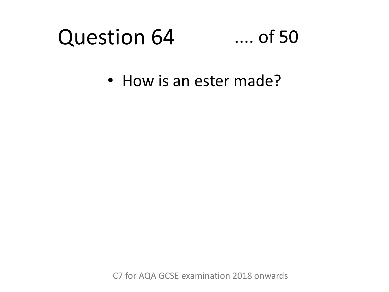### .... of 50

• How is an ester made?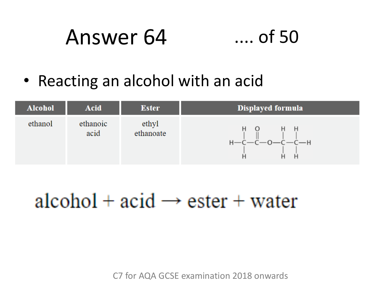# Answer 64

- $\dots$  of 50
- Reacting an alcohol with an acid



## alcohol +  $\text{acid} \rightarrow \text{ester} + \text{water}$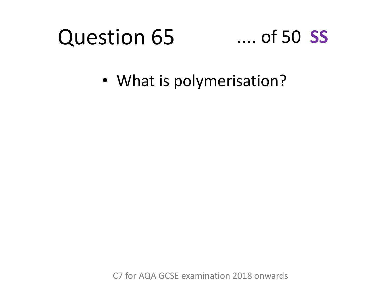### .... of 50 **SS**

• What is polymerisation?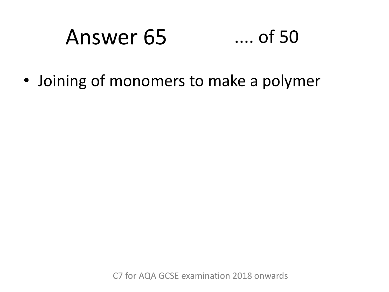# Answer 65 .... of 50

• Joining of monomers to make a polymer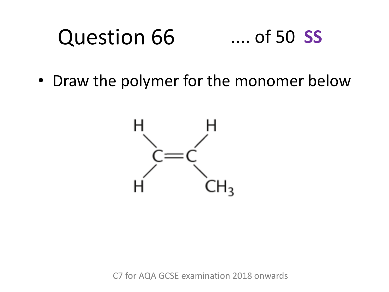#### Question 66 .... of 50 **SS**

• Draw the polymer for the monomer below

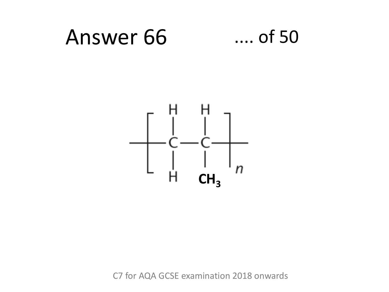#### Answer 66  $...$  of 50

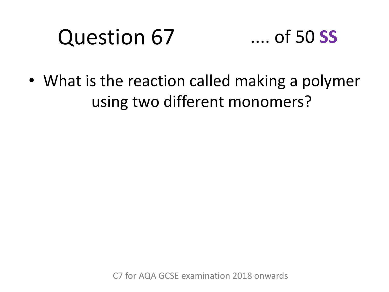

• What is the reaction called making a polymer using two different monomers?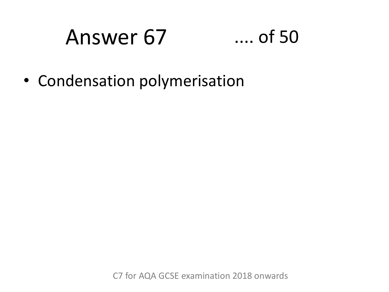# Answer 67 .... of 50

• Condensation polymerisation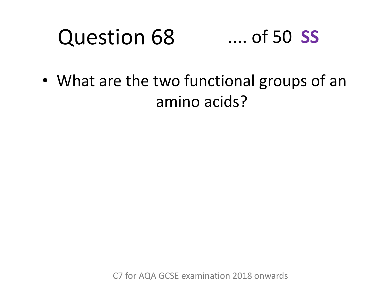#### Question 68 .... of 50 **SS**

• What are the two functional groups of an amino acids?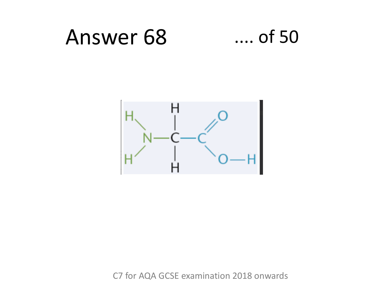#### Answer 68  $\dots$  of 50

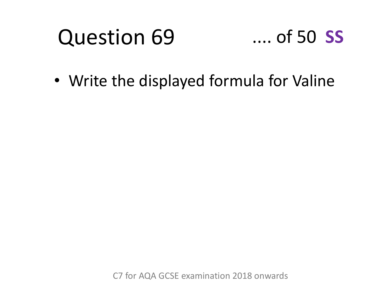### $\dots$  of 50  $SS$

• Write the displayed formula for Valine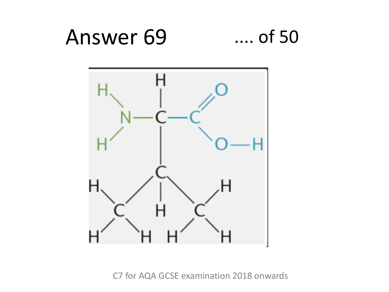#### Answer 69  $...$  of 50

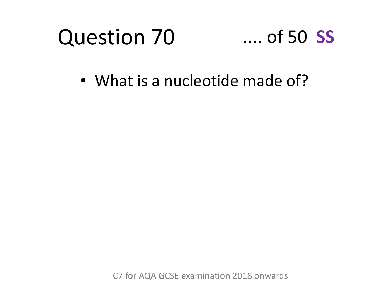

### .... of 50 **SS**

• What is a nucleotide made of?